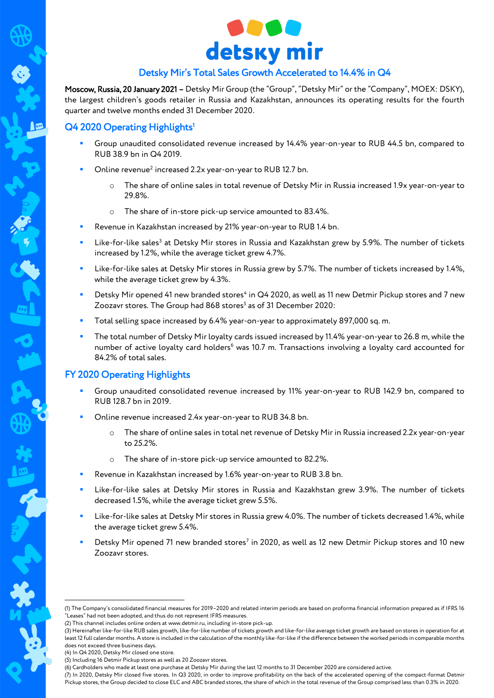

# Detsky Mir's Total Sales Growth Accelerated to 14.4% in Q4

Moscow, Russia, 20 January 2021 – Detsky Mir Group (the "Group", "Detsky Mir" or the "Company", MOEX: DSKY), the largest children's goods retailer in Russia and Kazakhstan, announces its operating results for the fourth quarter and twelve months ended 31 December 2020.

### Q4 2020 Operating Highlights<sup>1</sup>

 $\blacksquare$ 

- Group unaudited consolidated revenue increased by 14.4% year-on-year to RUB 44.5 bn, compared to RUB 38.9 bn in Q4 2019.
- $\blacksquare$  Online revenue<sup>2</sup> increased 2.2x year-on-year to RUB 12.7 bn.
	- o The share of online sales in total revenue of Detsky Mir in Russia increased 1.9x year-on-year to 29.8%.
	- o The share of in-store pick-up service amounted to 83.4%.
- Revenue in Kazakhstan increased by 21% year-on-year to RUB 1.4 bn.
- **EXECTS:** Like-for-like sales<sup>3</sup> at Detsky Mir stores in Russia and Kazakhstan grew by 5.9%. The number of tickets increased by 1.2%, while the average ticket grew 4.7%.
- Like-for-like sales at Detsky Mir stores in Russia grew by 5.7%. The number of tickets increased by 1.4%, while the average ticket grew by 4.3%.
- Detsky Mir opened 41 new branded stores<sup>4</sup> in Q4 2020, as well as 11 new Detmir Pickup stores and 7 new Zoozavr stores. The Group had 868 stores<sup>5</sup> as of 31 December 2020:
- Total selling space increased by 6.4% year-on-year to approximately 897,000 sq. m.
- The total number of Detsky Mir loyalty cards issued increased by 11.4% year-on-year to 26.8 m, while the number of active loyalty card holders<sup>6</sup> was 10.7 m. Transactions involving a loyalty card accounted for 84.2% of total sales.

# FY 2020 Operating Highlights

- Group unaudited consolidated revenue increased by 11% year-on-year to RUB 142.9 bn, compared to RUB 128.7 bn in 2019.
- Online revenue increased 2.4x year-on-year to RUB 34.8 bn.
	- o The share of online sales in total net revenue of Detsky Mir in Russia increased 2.2x year-on-year to 25.2%.
	- o The share of in-store pick-up service amounted to 82.2%.
- Revenue in Kazakhstan increased by 1.6% year-on-year to RUB 3.8 bn.
- Like-for-like sales at Detsky Mir stores in Russia and Kazakhstan grew 3.9%. The number of tickets decreased 1.5%, while the average ticket grew 5.5%.
- Like-for-like sales at Detsky Mir stores in Russia grew 4.0%. The number of tickets decreased 1.4%, while the average ticket grew 5.4%.
- Detsky Mir opened 71 new branded stores<sup>7</sup> in 2020, as well as 12 new Detmir Pickup stores and 10 new Zoozavr stores.

<u>.</u>

<sup>(1)</sup> The Company's consolidated financial measures for 2019–2020 and related interim periods are based on proforma financial information prepared as if IFRS 16 "Leases" had not been adopted, and thus do not represent IFRS measures.

<sup>(2)</sup> This channel includes online orders a[t www.detmir.ru,](http://www.detmir.ru/) including in-store pick-up.

<sup>(3)</sup> Hereinafter like-for-like RUB sales growth, like-for-like number of tickets growth and like-for-like average ticket growth are based on stores in operation for at least 12 full calendar months. A store is included in the calculation of the monthly like-for-like if the difference between the worked periods in comparable months does not exceed three business days.

<sup>(4)</sup> In Q4 2020, Detsky Mir closed one store.

<sup>(5)</sup> Including 16 Detmir Pickup stores as well as 20 Zoozavr stores.

<sup>(6)</sup> Cardholders who made at least one purchase at Detsky Mir during the last 12 months to 31 December 2020 are considered active.

<sup>(7)</sup> In 2020, Detsky Mir closed five stores. In Q3 2020, in order to improve profitability on the back of the accelerated opening of the compact-format Detmir Pickup stores, the Group decided to close ELC and ABC branded stores, the share of which in the total revenue of the Group comprised less than 0.3% in 2020.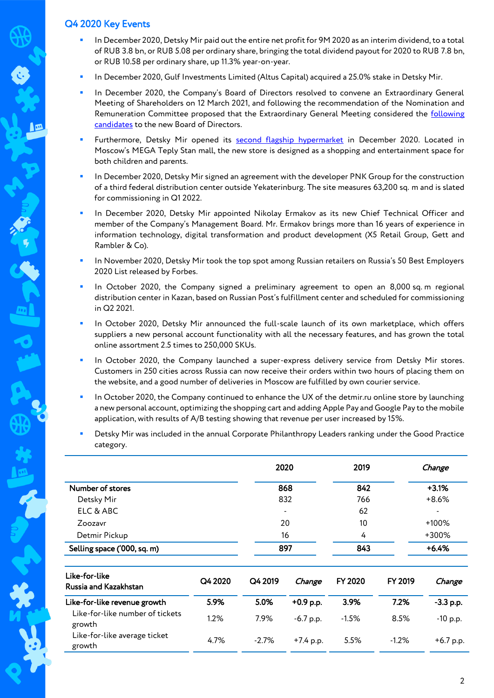### Q4 2020 Key Events

- In December 2020, Detsky Mir paid out the entire net profit for 9M 2020 as an interim dividend, to a total of RUB 3.8 bn, or RUB 5.08 per ordinary share, bringing the total dividend payout for 2020 to RUB 7.8 bn, or RUB 10.58 per ordinary share, up 11.3% year-on-year.
- In December 2020, Gulf Investments Limited (Altus Capital) acquired a 25.0% stake in Detsky Mir.
- In December 2020, the Company's Board of Directors resolved to convene an Extraordinary General Meeting of Shareholders on 12 March 2021, and following the recommendation of the Nomination and Remuneration Committee proposed that the Extraordinary General Meeting considered the following [candidates](http://corp.detmir.ru/press-centre/news/detsky_mir_candidates_to_the_new_board) to the new Board of Directors.
- Furthermore, Detsky Mir opened its [second flagship hypermarket](https://youtu.be/C7mnIWKMiZI) in December 2020. Located in Moscow's MEGA Teply Stan mall, the new store is designed as a shopping and entertainment space for both children and parents.
- In December 2020, Detsky Mir signed an agreement with the developer PNK Group for the construction of a third federal distribution center outside Yekaterinburg. The site measures 63,200 sq. m and is slated for commissioning in Q1 2022.
- In December 2020, Detsky Mir appointed Nikolay Ermakov as its new Chief Technical Officer and member of the Company's Management Board. Mr. Ermakov brings more than 16 years of experience in information technology, digital transformation and product development (X5 Retail Group, Gett and Rambler & Co).
- In November 2020, Detsky Mir took the top spot among Russian retailers on Russia's 50 Best Employers 2020 List released by Forbes.
- In October 2020, the Company signed a preliminary agreement to open an 8,000 sq. m regional distribution center in Kazan, based on Russian Post's fulfillment center and scheduled for commissioning in Q2 2021.
- In October 2020, Detsky Mir announced the full-scale launch of its own marketplace, which offers suppliers a new personal account functionality with all the necessary features, and has grown the total online assortment 2.5 times to 250,000 SKUs.
- In October 2020, the Company launched a super-express delivery service from Detsky Mir stores. Customers in 250 cities across Russia can now receive their orders within two hours of placing them on the website, and a good number of deliveries in Moscow are fulfilled by own courier service.
- In October 2020, the Company continued to enhance the UX of the detmir.ru online store by launching a new personal account, optimizing the shopping cart and adding Apple Pay and Google Pay to the mobile application, with results of A/B testing showing that revenue per user increased by 15%.
- Detsky Mir was included in the annual Corporate Philanthropy Leaders ranking under the Good Practice category.

|                                           |         | 2020    |             | 2019            |         | Change      |  |
|-------------------------------------------|---------|---------|-------------|-----------------|---------|-------------|--|
| Number of stores                          |         | 868     |             | 842             |         | $+3.1%$     |  |
| Detsky Mir                                |         | 832     |             | 766             |         | $+8.6%$     |  |
| ELC & ABC                                 |         |         |             | 62              |         | ٠           |  |
| Zoozavr                                   |         | 20      |             | 10 <sup>°</sup> |         | +100%       |  |
| Detmir Pickup                             |         | 16      |             | 4               |         | +300%       |  |
| Selling space ('000, sq. m)               |         | 897     |             | 843             |         | $+6.4%$     |  |
| Like-for-like<br>Russia and Kazakhstan    | Q4 2020 | Q4 2019 | Change      | FY 2020         | FY 2019 | Change      |  |
| Like-for-like revenue growth              | 5.9%    | 5.0%    | $+0.9$ p.p. | 3.9%            | 7.2%    | $-3.3$ p.p. |  |
| Like-for-like number of tickets<br>growth | 1.2%    | 7.9%    | $-6.7$ p.p. | $-1.5%$         | 8.5%    | $-10$ p.p.  |  |
| Like-for-like average ticket<br>growth    | 4.7%    | $-2.7%$ | $+7.4$ p.p. | 5.5%            | $-1.2%$ | $+6.7$ p.p. |  |

2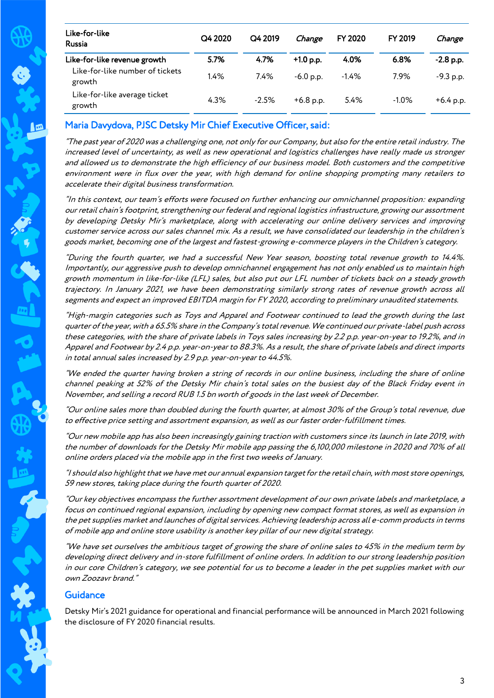| Like-for-like<br><b>Russia</b>            | Q4 2020 | Q4 2019 | Change      | <b>FY 2020</b> | FY 2019  | Change      |
|-------------------------------------------|---------|---------|-------------|----------------|----------|-------------|
| Like-for-like revenue growth              | 5.7%    | 4.7%    | $+1.0$ p.p. | 4.0%           | 6.8%     | $-2.8$ p.p. |
| Like-for-like number of tickets<br>growth | 1.4%    | 7.4%    | $-6.0 p.p.$ | $-1.4%$        | 7.9%     | $-9.3$ p.p. |
| Like-for-like average ticket<br>growth    | 4.3%    | $-2.5%$ | $+6.8$ p.p. | 5.4%           | $-1.0\%$ | $+6.4$ p.p. |

# Maria Davydova, PJSC Detsky Mir Chief Executive Officer, said:

"The past year of 2020 was a challenging one, not only for our Company, but also for the entire retail industry. The increased level of uncertainty, as well as new operational and logistics challenges have really made us stronger and allowed us to demonstrate the high efficiency of our business model. Both customers and the competitive environment were in flux over the year, with high demand for online shopping prompting many retailers to accelerate their digital business transformation.

"In this context, our team's efforts were focused on further enhancing our omnichannel proposition: expanding our retail chain's footprint, strengthening our federal and regional logistics infrastructure, growing our assortment by developing Detsky Mir's marketplace, along with accelerating our online delivery services and improving customer service across our sales channel mix. As a result, we have consolidated our leadership in the children's goods market, becoming one of the largest and fastest-growing e-commerce players in the Children's category.

"During the fourth quarter, we had a successful New Year season, boosting total revenue growth to 14.4%. Importantly, our aggressive push to develop omnichannel engagement has not only enabled us to maintain high growth momentum in like-for-like (LFL) sales, but also put our LFL number of tickets back on a steady growth trajectory. In January 2021, we have been demonstrating similarly strong rates of revenue growth across all segments and expect an improved EBITDA margin for FY 2020, according to preliminary unaudited statements.

"High-margin categories such as Toys and Apparel and Footwear continued to lead the growth during the last quarter of the year, with a 65.5% share in the Company's total revenue. We continued our private-label push across these categories, with the share of private labels in Toys sales increasing by 2.2 p.p. year-on-year to 19.2%, and in Apparel and Footwear by 2.4 p.p. year-on-year to 88.3%. As a result, the share of private labels and direct imports in total annual sales increased by 2.9 p.p. year-on-year to 44.5%.

"We ended the quarter having broken a string of records in our online business, including the share of online channel peaking at 52% of the Detsky Mir chain's total sales on the busiest day of the Black Friday event in November, and selling a record RUB 1.5 bn worth of goods in the last week of December.

"Our online sales more than doubled during the fourth quarter, at almost 30% of the Group's total revenue, due to effective price setting and assortment expansion, as well as our faster order-fulfillment times.

"Our new mobile app has also been increasingly gaining traction with customers since its launch in late 2019, with the number of downloads for the Detsky Mir mobile app passing the 6,100,000 milestone in 2020 and 70% of all online orders placed via the mobile app in the first two weeks of January.

"I should also highlight that we have met our annual expansion target for the retail chain, with most store openings, 59 new stores, taking place during the fourth quarter of 2020.

"Our key objectives encompass the further assortment development of our own private labels and marketplace, a focus on continued regional expansion, including by opening new compact format stores, as well as expansion in the pet supplies market and launches of digital services. Achieving leadership across all e-comm products in terms of mobile app and online store usability is another key pillar of our new digital strategy.

"We have set ourselves the ambitious target of growing the share of online sales to 45% in the medium term by developing direct delivery and in-store fulfillment of online orders. In addition to our strong leadership position in our core Children's category, we see potential for us to become a leader in the pet supplies market with our own Zoozavr brand."

### **Guidance**

Detsky Mir's 2021 guidance for operational and financial performance will be announced in March 2021 following the disclosure of FY 2020 financial results.